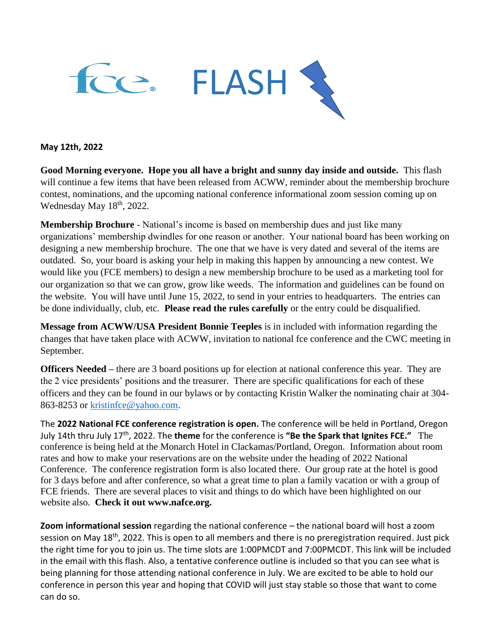

#### **May 12th, 2022**

**Good Morning everyone. Hope you all have a bright and sunny day inside and outside.** This flash will continue a few items that have been released from ACWW, reminder about the membership brochure contest, nominations, and the upcoming national conference informational zoom session coming up on Wednesday May 18<sup>th</sup>, 2022.

**Membership Brochure** - National's income is based on membership dues and just like many organizations' membership dwindles for one reason or another. Your national board has been working on designing a new membership brochure. The one that we have is very dated and several of the items are outdated. So, your board is asking your help in making this happen by announcing a new contest. We would like you (FCE members) to design a new membership brochure to be used as a marketing tool for our organization so that we can grow, grow like weeds. The information and guidelines can be found on the website. You will have until June 15, 2022, to send in your entries to headquarters. The entries can be done individually, club, etc. **Please read the rules carefully** or the entry could be disqualified.

**Message from ACWW/USA President Bonnie Teeples** is in included with information regarding the changes that have taken place with ACWW, invitation to national fce conference and the CWC meeting in September.

**Officers Needed** – there are 3 board positions up for election at national conference this year. They are the 2 vice presidents' positions and the treasurer. There are specific qualifications for each of these officers and they can be found in our bylaws or by contacting Kristin Walker the nominating chair at 304- 863-8253 or [kristinfce@yahoo.com.](mailto:kristinfce@yahoo.com)

The **2022 National FCE conference registration is open.** The conference will be held in Portland, Oregon July 14th thru July 17th, 2022. The **theme** for the conference is **"Be the Spark that Ignites FCE."** The conference is being held at the Monarch Hotel in Clackamas/Portland, Oregon. Information about room rates and how to make your reservations are on the website under the heading of 2022 National Conference. The conference registration form is also located there. Our group rate at the hotel is good for 3 days before and after conference, so what a great time to plan a family vacation or with a group of FCE friends. There are several places to visit and things to do which have been highlighted on our website also. **Check it out www.nafce.org.**

**Zoom informational session** regarding the national conference – the national board will host a zoom session on May 18<sup>th</sup>, 2022. This is open to all members and there is no preregistration required. Just pick the right time for you to join us. The time slots are 1:00PMCDT and 7:00PMCDT. This link will be included in the email with this flash. Also, a tentative conference outline is included so that you can see what is being planning for those attending national conference in July. We are excited to be able to hold our conference in person this year and hoping that COVID will just stay stable so those that want to come can do so.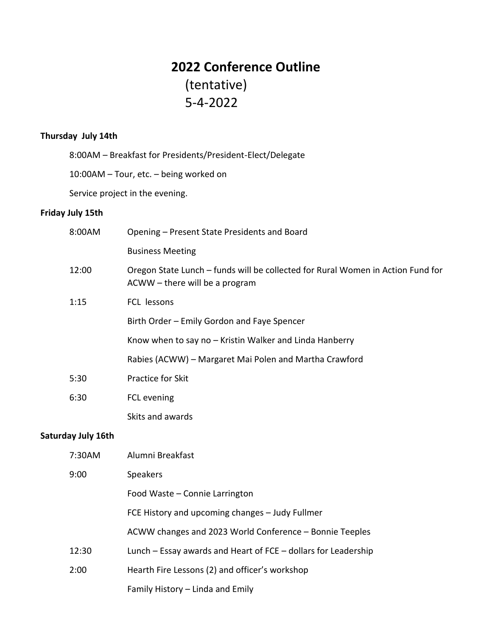# **2022 Conference Outline** (tentative) 5-4-2022

### **Thursday July 14th**

8:00AM – Breakfast for Presidents/President-Elect/Delegate

10:00AM – Tour, etc. – being worked on

Service project in the evening.

### **Friday July 15th**

| 8:00AM                    | Opening - Present State Presidents and Board                                                                      |
|---------------------------|-------------------------------------------------------------------------------------------------------------------|
|                           | <b>Business Meeting</b>                                                                                           |
| 12:00                     | Oregon State Lunch - funds will be collected for Rural Women in Action Fund for<br>ACWW - there will be a program |
| 1:15                      | FCL lessons                                                                                                       |
|                           | Birth Order - Emily Gordon and Faye Spencer                                                                       |
|                           | Know when to say no - Kristin Walker and Linda Hanberry                                                           |
|                           | Rabies (ACWW) - Margaret Mai Polen and Martha Crawford                                                            |
| 5:30                      | Practice for Skit                                                                                                 |
| 6:30                      | FCL evening                                                                                                       |
|                           | Skits and awards                                                                                                  |
| <b>Saturday July 16th</b> |                                                                                                                   |
| 7:30AM                    | Alumni Breakfast                                                                                                  |
| 9:00                      | Speakers                                                                                                          |
|                           | Food Waste - Connie Larrington                                                                                    |
|                           | FCE History and upcoming changes - Judy Fullmer                                                                   |
|                           | ACWW changes and 2023 World Conference - Bonnie Teeples                                                           |
| 12:30                     | Lunch - Essay awards and Heart of FCE - dollars for Leadership                                                    |
| 2:00                      | Hearth Fire Lessons (2) and officer's workshop                                                                    |
|                           | Family History - Linda and Emily                                                                                  |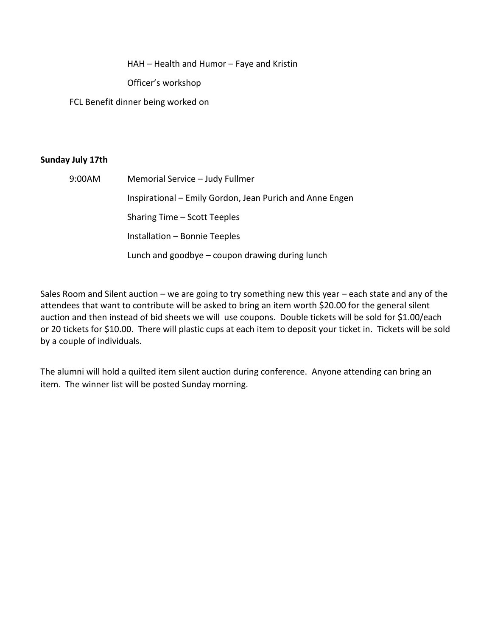HAH – Health and Humor – Faye and Kristin

Officer's workshop

FCL Benefit dinner being worked on

### **Sunday July 17th**

| 9:00AM | Memorial Service - Judy Fullmer                          |
|--------|----------------------------------------------------------|
|        | Inspirational – Emily Gordon, Jean Purich and Anne Engen |
|        | Sharing Time – Scott Teeples                             |
|        | Installation - Bonnie Teeples                            |
|        | Lunch and goodbye $-$ coupon drawing during lunch        |

Sales Room and Silent auction – we are going to try something new this year – each state and any of the attendees that want to contribute will be asked to bring an item worth \$20.00 for the general silent auction and then instead of bid sheets we will use coupons. Double tickets will be sold for \$1.00/each or 20 tickets for \$10.00. There will plastic cups at each item to deposit your ticket in. Tickets will be sold by a couple of individuals.

The alumni will hold a quilted item silent auction during conference. Anyone attending can bring an item. The winner list will be posted Sunday morning.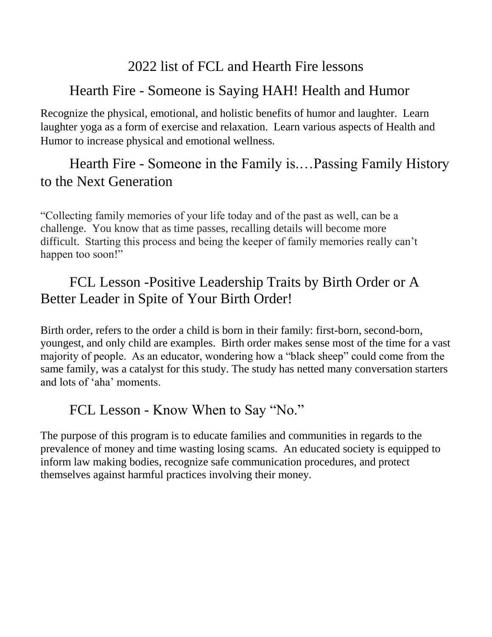# 2022 list of FCL and Hearth Fire lessons

# Hearth Fire - Someone is Saying HAH! Health and Humor

Recognize the physical, emotional, and holistic benefits of humor and laughter. Learn laughter yoga as a form of exercise and relaxation. Learn various aspects of Health and Humor to increase physical and emotional wellness.

# Hearth Fire - Someone in the Family is.…Passing Family History to the Next Generation

"Collecting family memories of your life today and of the past as well, can be a challenge. You know that as time passes, recalling details will become more difficult. Starting this process and being the keeper of family memories really can't happen too soon!"

# FCL Lesson -Positive Leadership Traits by Birth Order or A Better Leader in Spite of Your Birth Order!

Birth order, refers to the order a child is born in their family: first-born, second-born, youngest, and only child are examples. Birth order makes sense most of the time for a vast majority of people. As an educator, wondering how a "black sheep" could come from the same family, was a catalyst for this study. The study has netted many conversation starters and lots of 'aha' moments.

### FCL Lesson - Know When to Say "No."

The purpose of this program is to educate families and communities in regards to the prevalence of money and time wasting losing scams. An educated society is equipped to inform law making bodies, recognize safe communication procedures, and protect themselves against harmful practices involving their money.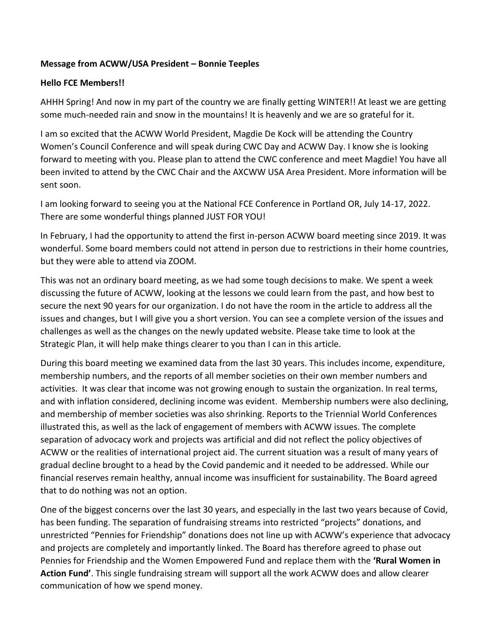### **Message from ACWW/USA President – Bonnie Teeples**

### **Hello FCE Members!!**

AHHH Spring! And now in my part of the country we are finally getting WINTER!! At least we are getting some much-needed rain and snow in the mountains! It is heavenly and we are so grateful for it.

I am so excited that the ACWW World President, Magdie De Kock will be attending the Country Women's Council Conference and will speak during CWC Day and ACWW Day. I know she is looking forward to meeting with you. Please plan to attend the CWC conference and meet Magdie! You have all been invited to attend by the CWC Chair and the AXCWW USA Area President. More information will be sent soon.

I am looking forward to seeing you at the National FCE Conference in Portland OR, July 14-17, 2022. There are some wonderful things planned JUST FOR YOU!

In February, I had the opportunity to attend the first in-person ACWW board meeting since 2019. It was wonderful. Some board members could not attend in person due to restrictions in their home countries, but they were able to attend via ZOOM.

This was not an ordinary board meeting, as we had some tough decisions to make. We spent a week discussing the future of ACWW, looking at the lessons we could learn from the past, and how best to secure the next 90 years for our organization. I do not have the room in the article to address all the issues and changes, but I will give you a short version. You can see a complete version of the issues and challenges as well as the changes on the newly updated website. Please take time to look at the Strategic Plan, it will help make things clearer to you than I can in this article.

During this board meeting we examined data from the last 30 years. This includes income, expenditure, membership numbers, and the reports of all member societies on their own member numbers and activities. It was clear that income was not growing enough to sustain the organization. In real terms, and with inflation considered, declining income was evident. Membership numbers were also declining, and membership of member societies was also shrinking. Reports to the Triennial World Conferences illustrated this, as well as the lack of engagement of members with ACWW issues. The complete separation of advocacy work and projects was artificial and did not reflect the policy objectives of ACWW or the realities of international project aid. The current situation was a result of many years of gradual decline brought to a head by the Covid pandemic and it needed to be addressed. While our financial reserves remain healthy, annual income was insufficient for sustainability. The Board agreed that to do nothing was not an option.

One of the biggest concerns over the last 30 years, and especially in the last two years because of Covid, has been funding. The separation of fundraising streams into restricted "projects" donations, and unrestricted "Pennies for Friendship" donations does not line up with ACWW's experience that advocacy and projects are completely and importantly linked. The Board has therefore agreed to phase out Pennies for Friendship and the Women Empowered Fund and replace them with the **'Rural Women in Action Fund'**. This single fundraising stream will support all the work ACWW does and allow clearer communication of how we spend money.